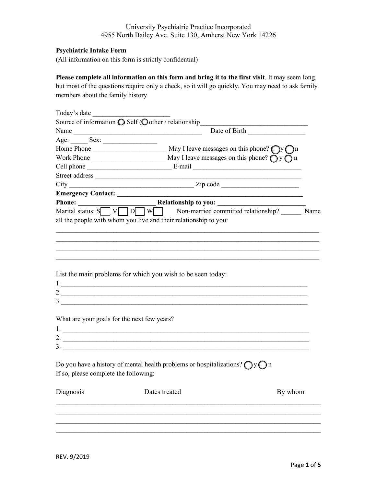#### **Psychiatric Intake Form**

(All information on this form is strictly confidential)

### **Please complete all information on this form and bring it to the first visit**. It may seem long, but most of the questions require only a check, so it will go quickly. You may need to ask family members about the family history

| Today's date                                |                                                                                            |      |
|---------------------------------------------|--------------------------------------------------------------------------------------------|------|
|                                             |                                                                                            |      |
|                                             | Date of Birth <u>January 1984</u>                                                          |      |
|                                             |                                                                                            |      |
|                                             |                                                                                            |      |
|                                             |                                                                                            |      |
|                                             |                                                                                            |      |
|                                             |                                                                                            |      |
|                                             |                                                                                            |      |
|                                             |                                                                                            |      |
|                                             |                                                                                            |      |
|                                             | Marital status: $S \cap M \cap D \cap W \cap$ Non-married committed relationship?          | Name |
|                                             | all the people with whom you live and their relationship to you:                           |      |
|                                             |                                                                                            |      |
|                                             |                                                                                            |      |
|                                             |                                                                                            |      |
|                                             |                                                                                            |      |
|                                             |                                                                                            |      |
|                                             | List the main problems for which you wish to be seen today:                                |      |
|                                             |                                                                                            |      |
|                                             |                                                                                            |      |
|                                             | $\frac{3}{2}$                                                                              |      |
|                                             |                                                                                            |      |
| What are your goals for the next few years? |                                                                                            |      |
|                                             |                                                                                            |      |
|                                             | 2. $\frac{1}{2}$                                                                           |      |
|                                             |                                                                                            |      |
|                                             | Do you have a history of mental health problems or hospitalizations? $\bigcap y \bigcap n$ |      |
| If so, please complete the following:       |                                                                                            |      |
|                                             |                                                                                            |      |
| Diagnosis                                   | Dates treated<br>By whom                                                                   |      |
|                                             |                                                                                            |      |
|                                             |                                                                                            |      |
|                                             |                                                                                            |      |
|                                             |                                                                                            |      |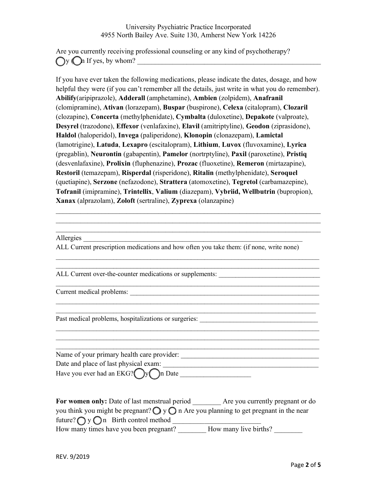Are you currently receiving professional counseling or any kind of psychotherapy?  $\bigcap$  y  $\bigcap$  if yes, by whom?

If you have ever taken the following medications, please indicate the dates, dosage, and how helpful they were (if you can't remember all the details, just write in what you do remember). **Abilify**(aripiprazole), **Adderall** (amphetamine), **Ambien** (zolpidem), **Anafranil** (clomipramine), **Ativan** (lorazepam), **Buspar** (buspirone), **Celexa** (citalopram), **Clozaril** (clozapine), **Concerta** (methylphenidate), **Cymbalta** (duloxetine), **Depakote** (valproate), **Desyrel** (trazodone), **Effexor** (venlafaxine), **Elavil** (amitriptyline), **Geodon** (ziprasidone), **Haldol** (haloperidol), **Invega** (paliperidone), **Klonopin** (clonazepam), **Lamictal** (lamotrigine), **Latuda**, **Lexapro** (escitalopram), **Lithium**, **Luvox** (fluvoxamine), **Lyrica** (pregablin), **Neurontin** (gabapentin), **Pamelor** (nortrptyline), **Paxil** (paroxetine), **Pristiq**  (desvenlafaxine), **Prolixin** (fluphenazine), **Prozac** (fluoxetine), **Remeron** (mirtazapine), **Restoril** (temazepam), **Risperdal** (risperidone), **Ritalin** (methylphenidate), **Seroquel** (quetiapine), **Serzone** (nefazodone), **Strattera** (atomoxetine), **Tegretol** (carbamazepine), **Tofranil** (imipramine), **Trintellix**, **Valium** (diazepam), **Vybriid, Wellbutrin** (bupropion), **Xanax** (alprazolam), **Zoloft** (sertraline), **Zyprexa** (olanzapine)

 $\mathcal{L}_\text{max} = \mathcal{L}_\text{max} = \mathcal{L}_\text{max} = \mathcal{L}_\text{max} = \mathcal{L}_\text{max} = \mathcal{L}_\text{max} = \mathcal{L}_\text{max} = \mathcal{L}_\text{max} = \mathcal{L}_\text{max} = \mathcal{L}_\text{max} = \mathcal{L}_\text{max} = \mathcal{L}_\text{max} = \mathcal{L}_\text{max} = \mathcal{L}_\text{max} = \mathcal{L}_\text{max} = \mathcal{L}_\text{max} = \mathcal{L}_\text{max} = \mathcal{L}_\text{max} = \mathcal{$  $\mathcal{L}_\text{max} = \mathcal{L}_\text{max} = \mathcal{L}_\text{max} = \mathcal{L}_\text{max} = \mathcal{L}_\text{max} = \mathcal{L}_\text{max} = \mathcal{L}_\text{max} = \mathcal{L}_\text{max} = \mathcal{L}_\text{max} = \mathcal{L}_\text{max} = \mathcal{L}_\text{max} = \mathcal{L}_\text{max} = \mathcal{L}_\text{max} = \mathcal{L}_\text{max} = \mathcal{L}_\text{max} = \mathcal{L}_\text{max} = \mathcal{L}_\text{max} = \mathcal{L}_\text{max} = \mathcal{$ 

 $\mathcal{L}_\mathcal{L} = \{ \mathcal{L}_\mathcal{L} = \{ \mathcal{L}_\mathcal{L} = \{ \mathcal{L}_\mathcal{L} = \{ \mathcal{L}_\mathcal{L} = \{ \mathcal{L}_\mathcal{L} = \{ \mathcal{L}_\mathcal{L} = \{ \mathcal{L}_\mathcal{L} = \{ \mathcal{L}_\mathcal{L} = \{ \mathcal{L}_\mathcal{L} = \{ \mathcal{L}_\mathcal{L} = \{ \mathcal{L}_\mathcal{L} = \{ \mathcal{L}_\mathcal{L} = \{ \mathcal{L}_\mathcal{L} = \{ \mathcal{L}_\mathcal{$  $\mathcal{L}_\mathcal{L} = \{ \mathcal{L}_\mathcal{L} = \{ \mathcal{L}_\mathcal{L} = \{ \mathcal{L}_\mathcal{L} = \{ \mathcal{L}_\mathcal{L} = \{ \mathcal{L}_\mathcal{L} = \{ \mathcal{L}_\mathcal{L} = \{ \mathcal{L}_\mathcal{L} = \{ \mathcal{L}_\mathcal{L} = \{ \mathcal{L}_\mathcal{L} = \{ \mathcal{L}_\mathcal{L} = \{ \mathcal{L}_\mathcal{L} = \{ \mathcal{L}_\mathcal{L} = \{ \mathcal{L}_\mathcal{L} = \{ \mathcal{L}_\mathcal{$ 

\_\_\_\_\_\_\_\_\_\_\_\_\_\_\_\_\_\_\_\_\_\_\_\_\_\_\_\_\_\_\_\_\_\_\_\_\_\_\_\_\_\_\_\_\_\_\_\_\_\_\_\_\_\_\_\_\_\_\_\_\_\_\_\_\_\_\_\_\_\_\_\_\_\_\_\_\_\_

\_\_\_\_\_\_\_\_\_\_\_\_\_\_\_\_\_\_\_\_\_\_\_\_\_\_\_\_\_\_\_\_\_\_\_\_\_\_\_\_\_\_\_\_\_\_\_\_\_\_\_\_\_\_\_\_\_\_\_\_\_\_\_\_\_\_\_\_\_\_\_\_\_\_\_\_\_\_ \_\_\_\_\_\_\_\_\_\_\_\_\_\_\_\_\_\_\_\_\_\_\_\_\_\_\_\_\_\_\_\_\_\_\_\_\_\_\_\_\_\_\_\_\_\_\_\_\_\_\_\_\_\_\_\_\_\_\_\_\_\_\_\_\_\_\_\_\_\_\_\_\_\_\_\_\_

 $\mathcal{L}_\mathcal{L} = \{ \mathcal{L}_\mathcal{L} = \{ \mathcal{L}_\mathcal{L} = \{ \mathcal{L}_\mathcal{L} = \{ \mathcal{L}_\mathcal{L} = \{ \mathcal{L}_\mathcal{L} = \{ \mathcal{L}_\mathcal{L} = \{ \mathcal{L}_\mathcal{L} = \{ \mathcal{L}_\mathcal{L} = \{ \mathcal{L}_\mathcal{L} = \{ \mathcal{L}_\mathcal{L} = \{ \mathcal{L}_\mathcal{L} = \{ \mathcal{L}_\mathcal{L} = \{ \mathcal{L}_\mathcal{L} = \{ \mathcal{L}_\mathcal{$  $\mathcal{L}_\mathcal{L} = \{ \mathcal{L}_\mathcal{L} = \{ \mathcal{L}_\mathcal{L} = \{ \mathcal{L}_\mathcal{L} = \{ \mathcal{L}_\mathcal{L} = \{ \mathcal{L}_\mathcal{L} = \{ \mathcal{L}_\mathcal{L} = \{ \mathcal{L}_\mathcal{L} = \{ \mathcal{L}_\mathcal{L} = \{ \mathcal{L}_\mathcal{L} = \{ \mathcal{L}_\mathcal{L} = \{ \mathcal{L}_\mathcal{L} = \{ \mathcal{L}_\mathcal{L} = \{ \mathcal{L}_\mathcal{L} = \{ \mathcal{L}_\mathcal{$ 

 $\mathcal{L}_\mathcal{L} = \{ \mathcal{L}_\mathcal{L} = \{ \mathcal{L}_\mathcal{L} = \{ \mathcal{L}_\mathcal{L} = \{ \mathcal{L}_\mathcal{L} = \{ \mathcal{L}_\mathcal{L} = \{ \mathcal{L}_\mathcal{L} = \{ \mathcal{L}_\mathcal{L} = \{ \mathcal{L}_\mathcal{L} = \{ \mathcal{L}_\mathcal{L} = \{ \mathcal{L}_\mathcal{L} = \{ \mathcal{L}_\mathcal{L} = \{ \mathcal{L}_\mathcal{L} = \{ \mathcal{L}_\mathcal{L} = \{ \mathcal{L}_\mathcal{$ 

Allergies

ALL Current prescription medications and how often you take them: (if none, write none)

ALL Current over-the-counter medications or supplements:

Current medical problems:

Past medical problems, hospitalizations or surgeries: \_\_\_\_\_\_\_\_\_\_\_\_\_\_\_\_\_\_\_\_\_\_\_\_\_\_\_\_\_\_\_\_\_\_\_

 $\mathcal{L}_\mathcal{L} = \{ \mathcal{L}_\mathcal{L} = \{ \mathcal{L}_\mathcal{L} = \{ \mathcal{L}_\mathcal{L} = \{ \mathcal{L}_\mathcal{L} = \{ \mathcal{L}_\mathcal{L} = \{ \mathcal{L}_\mathcal{L} = \{ \mathcal{L}_\mathcal{L} = \{ \mathcal{L}_\mathcal{L} = \{ \mathcal{L}_\mathcal{L} = \{ \mathcal{L}_\mathcal{L} = \{ \mathcal{L}_\mathcal{L} = \{ \mathcal{L}_\mathcal{L} = \{ \mathcal{L}_\mathcal{L} = \{ \mathcal{L}_\mathcal{$ Name of your primary health care provider: \_\_\_\_\_\_\_\_\_\_\_\_\_\_\_\_\_\_\_\_\_\_\_\_\_\_\_\_\_\_\_\_\_\_\_\_\_\_\_ Date and place of last physical exam: \_\_\_\_\_\_\_\_\_\_\_\_\_\_\_\_\_\_\_\_\_\_\_\_\_\_\_\_\_\_\_\_\_\_\_\_\_\_\_\_\_\_\_\_ Have you ever had an EKG? ( ) y ( ) n Date \_\_\_\_\_\_\_\_\_\_\_\_\_\_\_\_\_\_\_\_\_

| For women only: Date of last menstrual period                                                           | Are you currently pregnant or do |
|---------------------------------------------------------------------------------------------------------|----------------------------------|
| you think you might be pregnant? $\bigcirc$ y $\bigcirc$ n Are you planning to get pregnant in the near |                                  |
| future? $\bigcap$ y $\bigcap$ n Birth control method                                                    |                                  |
| How many times have you been pregnant?                                                                  | How many live births?            |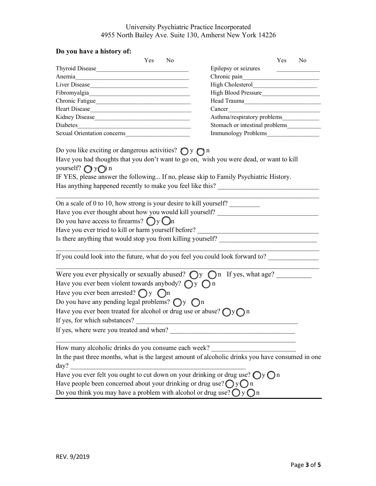# **Do you have a history of:**

| N <sub>0</sub><br>Thyroid Disease<br>Epilepsy or seizures<br>Chronic pain<br>Liver Disease<br>High Blood Pressure<br>Fibromyalgia<br>Chronic Fatigue<br>Head Trauma<br>Heart Disease<br>Cancer<br>Asthma/respiratory problems<br>Kidney Disease<br>Stomach or intestinal problems<br>Diabetes and the contract of the contract of the contract of the contract of the contract of the contract of the contract of the contract of the contract of the contract of the contract of the contract of the contract of t<br>Immunology Problems<br>Do you like exciting or dangerous activities? $\bigcirc$ y $\bigcirc$ n<br>Have you had thoughts that you don't want to go on, wish you were dead, or want to kill<br>yourself? $\bigcap$ y $\bigcap$ n<br>IF YES, please answer the following If no, please skip to Family Psychiatric History.<br>Has anything happened recently to make you feel like this? ______________________<br>On a scale of 0 to 10, how strong is your desire to kill yourself?<br>Have you ever thought about how you would kill yourself? _______________________<br>Do you have access to firearms? $\bigcirc$ y $\bigcirc$ n<br>Is there anything that would stop you from killing yourself? ____________________<br>If you could look into the future, what do you feel you could look forward to?<br>Were you ever physically or sexually abused? $\bigcirc$ $y \bigcirc$ in If yes, what age?<br>Have you ever been violent towards anybody? $\bigcirc$ y $\bigcirc$ n<br>Have you ever been arrested? $\bigcap y$ $\bigcap n$<br>Do you have any pending legal problems? $\bigcirc$ y $\bigcirc$ n<br>Have you ever been treated for alcohol or drug use or abuse? $\bigcap y \bigcap n$<br>If yes, for which substances?<br>If yes, where were you treated and when?<br>How many alcoholic drinks do you consume each week?<br>day?<br>Have you ever felt you ought to cut down on your drinking or drug use? $\bigcirc$ y $\bigcirc$ n<br>Have people been concerned about your drinking or drug use? $\bigcirc$ y $\bigcirc$ n<br>Do you think you may have a problem with alcohol or drug use? $\bigcirc$ y $\bigcirc$ n | DO YOU HAVE A HISTOLY OF |  |  |     |                |
|----------------------------------------------------------------------------------------------------------------------------------------------------------------------------------------------------------------------------------------------------------------------------------------------------------------------------------------------------------------------------------------------------------------------------------------------------------------------------------------------------------------------------------------------------------------------------------------------------------------------------------------------------------------------------------------------------------------------------------------------------------------------------------------------------------------------------------------------------------------------------------------------------------------------------------------------------------------------------------------------------------------------------------------------------------------------------------------------------------------------------------------------------------------------------------------------------------------------------------------------------------------------------------------------------------------------------------------------------------------------------------------------------------------------------------------------------------------------------------------------------------------------------------------------------------------------------------------------------------------------------------------------------------------------------------------------------------------------------------------------------------------------------------------------------------------------------------------------------------------------------------------------------------------------------------------------------------------------------------------------------------------------------------------------------------------------------------------------------------------------------------------------------------------|--------------------------|--|--|-----|----------------|
|                                                                                                                                                                                                                                                                                                                                                                                                                                                                                                                                                                                                                                                                                                                                                                                                                                                                                                                                                                                                                                                                                                                                                                                                                                                                                                                                                                                                                                                                                                                                                                                                                                                                                                                                                                                                                                                                                                                                                                                                                                                                                                                                                                | Yes                      |  |  | Yes | N <sub>0</sub> |
|                                                                                                                                                                                                                                                                                                                                                                                                                                                                                                                                                                                                                                                                                                                                                                                                                                                                                                                                                                                                                                                                                                                                                                                                                                                                                                                                                                                                                                                                                                                                                                                                                                                                                                                                                                                                                                                                                                                                                                                                                                                                                                                                                                |                          |  |  |     |                |
|                                                                                                                                                                                                                                                                                                                                                                                                                                                                                                                                                                                                                                                                                                                                                                                                                                                                                                                                                                                                                                                                                                                                                                                                                                                                                                                                                                                                                                                                                                                                                                                                                                                                                                                                                                                                                                                                                                                                                                                                                                                                                                                                                                |                          |  |  |     |                |
|                                                                                                                                                                                                                                                                                                                                                                                                                                                                                                                                                                                                                                                                                                                                                                                                                                                                                                                                                                                                                                                                                                                                                                                                                                                                                                                                                                                                                                                                                                                                                                                                                                                                                                                                                                                                                                                                                                                                                                                                                                                                                                                                                                |                          |  |  |     |                |
|                                                                                                                                                                                                                                                                                                                                                                                                                                                                                                                                                                                                                                                                                                                                                                                                                                                                                                                                                                                                                                                                                                                                                                                                                                                                                                                                                                                                                                                                                                                                                                                                                                                                                                                                                                                                                                                                                                                                                                                                                                                                                                                                                                |                          |  |  |     |                |
|                                                                                                                                                                                                                                                                                                                                                                                                                                                                                                                                                                                                                                                                                                                                                                                                                                                                                                                                                                                                                                                                                                                                                                                                                                                                                                                                                                                                                                                                                                                                                                                                                                                                                                                                                                                                                                                                                                                                                                                                                                                                                                                                                                |                          |  |  |     |                |
|                                                                                                                                                                                                                                                                                                                                                                                                                                                                                                                                                                                                                                                                                                                                                                                                                                                                                                                                                                                                                                                                                                                                                                                                                                                                                                                                                                                                                                                                                                                                                                                                                                                                                                                                                                                                                                                                                                                                                                                                                                                                                                                                                                |                          |  |  |     |                |
|                                                                                                                                                                                                                                                                                                                                                                                                                                                                                                                                                                                                                                                                                                                                                                                                                                                                                                                                                                                                                                                                                                                                                                                                                                                                                                                                                                                                                                                                                                                                                                                                                                                                                                                                                                                                                                                                                                                                                                                                                                                                                                                                                                |                          |  |  |     |                |
|                                                                                                                                                                                                                                                                                                                                                                                                                                                                                                                                                                                                                                                                                                                                                                                                                                                                                                                                                                                                                                                                                                                                                                                                                                                                                                                                                                                                                                                                                                                                                                                                                                                                                                                                                                                                                                                                                                                                                                                                                                                                                                                                                                |                          |  |  |     |                |
|                                                                                                                                                                                                                                                                                                                                                                                                                                                                                                                                                                                                                                                                                                                                                                                                                                                                                                                                                                                                                                                                                                                                                                                                                                                                                                                                                                                                                                                                                                                                                                                                                                                                                                                                                                                                                                                                                                                                                                                                                                                                                                                                                                |                          |  |  |     |                |
| In the past three months, what is the largest amount of alcoholic drinks you have consumed in one                                                                                                                                                                                                                                                                                                                                                                                                                                                                                                                                                                                                                                                                                                                                                                                                                                                                                                                                                                                                                                                                                                                                                                                                                                                                                                                                                                                                                                                                                                                                                                                                                                                                                                                                                                                                                                                                                                                                                                                                                                                              |                          |  |  |     |                |
|                                                                                                                                                                                                                                                                                                                                                                                                                                                                                                                                                                                                                                                                                                                                                                                                                                                                                                                                                                                                                                                                                                                                                                                                                                                                                                                                                                                                                                                                                                                                                                                                                                                                                                                                                                                                                                                                                                                                                                                                                                                                                                                                                                |                          |  |  |     |                |
|                                                                                                                                                                                                                                                                                                                                                                                                                                                                                                                                                                                                                                                                                                                                                                                                                                                                                                                                                                                                                                                                                                                                                                                                                                                                                                                                                                                                                                                                                                                                                                                                                                                                                                                                                                                                                                                                                                                                                                                                                                                                                                                                                                |                          |  |  |     |                |
|                                                                                                                                                                                                                                                                                                                                                                                                                                                                                                                                                                                                                                                                                                                                                                                                                                                                                                                                                                                                                                                                                                                                                                                                                                                                                                                                                                                                                                                                                                                                                                                                                                                                                                                                                                                                                                                                                                                                                                                                                                                                                                                                                                |                          |  |  |     |                |
|                                                                                                                                                                                                                                                                                                                                                                                                                                                                                                                                                                                                                                                                                                                                                                                                                                                                                                                                                                                                                                                                                                                                                                                                                                                                                                                                                                                                                                                                                                                                                                                                                                                                                                                                                                                                                                                                                                                                                                                                                                                                                                                                                                |                          |  |  |     |                |
|                                                                                                                                                                                                                                                                                                                                                                                                                                                                                                                                                                                                                                                                                                                                                                                                                                                                                                                                                                                                                                                                                                                                                                                                                                                                                                                                                                                                                                                                                                                                                                                                                                                                                                                                                                                                                                                                                                                                                                                                                                                                                                                                                                |                          |  |  |     |                |
|                                                                                                                                                                                                                                                                                                                                                                                                                                                                                                                                                                                                                                                                                                                                                                                                                                                                                                                                                                                                                                                                                                                                                                                                                                                                                                                                                                                                                                                                                                                                                                                                                                                                                                                                                                                                                                                                                                                                                                                                                                                                                                                                                                |                          |  |  |     |                |
|                                                                                                                                                                                                                                                                                                                                                                                                                                                                                                                                                                                                                                                                                                                                                                                                                                                                                                                                                                                                                                                                                                                                                                                                                                                                                                                                                                                                                                                                                                                                                                                                                                                                                                                                                                                                                                                                                                                                                                                                                                                                                                                                                                |                          |  |  |     |                |
|                                                                                                                                                                                                                                                                                                                                                                                                                                                                                                                                                                                                                                                                                                                                                                                                                                                                                                                                                                                                                                                                                                                                                                                                                                                                                                                                                                                                                                                                                                                                                                                                                                                                                                                                                                                                                                                                                                                                                                                                                                                                                                                                                                |                          |  |  |     |                |
|                                                                                                                                                                                                                                                                                                                                                                                                                                                                                                                                                                                                                                                                                                                                                                                                                                                                                                                                                                                                                                                                                                                                                                                                                                                                                                                                                                                                                                                                                                                                                                                                                                                                                                                                                                                                                                                                                                                                                                                                                                                                                                                                                                |                          |  |  |     |                |
|                                                                                                                                                                                                                                                                                                                                                                                                                                                                                                                                                                                                                                                                                                                                                                                                                                                                                                                                                                                                                                                                                                                                                                                                                                                                                                                                                                                                                                                                                                                                                                                                                                                                                                                                                                                                                                                                                                                                                                                                                                                                                                                                                                |                          |  |  |     |                |
|                                                                                                                                                                                                                                                                                                                                                                                                                                                                                                                                                                                                                                                                                                                                                                                                                                                                                                                                                                                                                                                                                                                                                                                                                                                                                                                                                                                                                                                                                                                                                                                                                                                                                                                                                                                                                                                                                                                                                                                                                                                                                                                                                                |                          |  |  |     |                |
|                                                                                                                                                                                                                                                                                                                                                                                                                                                                                                                                                                                                                                                                                                                                                                                                                                                                                                                                                                                                                                                                                                                                                                                                                                                                                                                                                                                                                                                                                                                                                                                                                                                                                                                                                                                                                                                                                                                                                                                                                                                                                                                                                                |                          |  |  |     |                |
|                                                                                                                                                                                                                                                                                                                                                                                                                                                                                                                                                                                                                                                                                                                                                                                                                                                                                                                                                                                                                                                                                                                                                                                                                                                                                                                                                                                                                                                                                                                                                                                                                                                                                                                                                                                                                                                                                                                                                                                                                                                                                                                                                                |                          |  |  |     |                |
|                                                                                                                                                                                                                                                                                                                                                                                                                                                                                                                                                                                                                                                                                                                                                                                                                                                                                                                                                                                                                                                                                                                                                                                                                                                                                                                                                                                                                                                                                                                                                                                                                                                                                                                                                                                                                                                                                                                                                                                                                                                                                                                                                                |                          |  |  |     |                |
|                                                                                                                                                                                                                                                                                                                                                                                                                                                                                                                                                                                                                                                                                                                                                                                                                                                                                                                                                                                                                                                                                                                                                                                                                                                                                                                                                                                                                                                                                                                                                                                                                                                                                                                                                                                                                                                                                                                                                                                                                                                                                                                                                                |                          |  |  |     |                |
|                                                                                                                                                                                                                                                                                                                                                                                                                                                                                                                                                                                                                                                                                                                                                                                                                                                                                                                                                                                                                                                                                                                                                                                                                                                                                                                                                                                                                                                                                                                                                                                                                                                                                                                                                                                                                                                                                                                                                                                                                                                                                                                                                                |                          |  |  |     |                |
|                                                                                                                                                                                                                                                                                                                                                                                                                                                                                                                                                                                                                                                                                                                                                                                                                                                                                                                                                                                                                                                                                                                                                                                                                                                                                                                                                                                                                                                                                                                                                                                                                                                                                                                                                                                                                                                                                                                                                                                                                                                                                                                                                                |                          |  |  |     |                |
|                                                                                                                                                                                                                                                                                                                                                                                                                                                                                                                                                                                                                                                                                                                                                                                                                                                                                                                                                                                                                                                                                                                                                                                                                                                                                                                                                                                                                                                                                                                                                                                                                                                                                                                                                                                                                                                                                                                                                                                                                                                                                                                                                                |                          |  |  |     |                |
|                                                                                                                                                                                                                                                                                                                                                                                                                                                                                                                                                                                                                                                                                                                                                                                                                                                                                                                                                                                                                                                                                                                                                                                                                                                                                                                                                                                                                                                                                                                                                                                                                                                                                                                                                                                                                                                                                                                                                                                                                                                                                                                                                                |                          |  |  |     |                |
|                                                                                                                                                                                                                                                                                                                                                                                                                                                                                                                                                                                                                                                                                                                                                                                                                                                                                                                                                                                                                                                                                                                                                                                                                                                                                                                                                                                                                                                                                                                                                                                                                                                                                                                                                                                                                                                                                                                                                                                                                                                                                                                                                                |                          |  |  |     |                |
|                                                                                                                                                                                                                                                                                                                                                                                                                                                                                                                                                                                                                                                                                                                                                                                                                                                                                                                                                                                                                                                                                                                                                                                                                                                                                                                                                                                                                                                                                                                                                                                                                                                                                                                                                                                                                                                                                                                                                                                                                                                                                                                                                                |                          |  |  |     |                |
|                                                                                                                                                                                                                                                                                                                                                                                                                                                                                                                                                                                                                                                                                                                                                                                                                                                                                                                                                                                                                                                                                                                                                                                                                                                                                                                                                                                                                                                                                                                                                                                                                                                                                                                                                                                                                                                                                                                                                                                                                                                                                                                                                                |                          |  |  |     |                |
|                                                                                                                                                                                                                                                                                                                                                                                                                                                                                                                                                                                                                                                                                                                                                                                                                                                                                                                                                                                                                                                                                                                                                                                                                                                                                                                                                                                                                                                                                                                                                                                                                                                                                                                                                                                                                                                                                                                                                                                                                                                                                                                                                                |                          |  |  |     |                |
|                                                                                                                                                                                                                                                                                                                                                                                                                                                                                                                                                                                                                                                                                                                                                                                                                                                                                                                                                                                                                                                                                                                                                                                                                                                                                                                                                                                                                                                                                                                                                                                                                                                                                                                                                                                                                                                                                                                                                                                                                                                                                                                                                                |                          |  |  |     |                |
|                                                                                                                                                                                                                                                                                                                                                                                                                                                                                                                                                                                                                                                                                                                                                                                                                                                                                                                                                                                                                                                                                                                                                                                                                                                                                                                                                                                                                                                                                                                                                                                                                                                                                                                                                                                                                                                                                                                                                                                                                                                                                                                                                                |                          |  |  |     |                |
|                                                                                                                                                                                                                                                                                                                                                                                                                                                                                                                                                                                                                                                                                                                                                                                                                                                                                                                                                                                                                                                                                                                                                                                                                                                                                                                                                                                                                                                                                                                                                                                                                                                                                                                                                                                                                                                                                                                                                                                                                                                                                                                                                                |                          |  |  |     |                |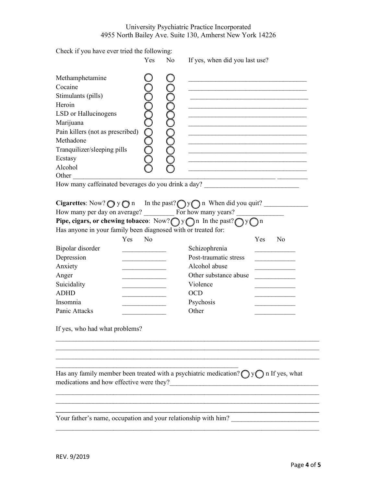|  | Check if you have ever tried the following: |  |  |  |  |  |  |
|--|---------------------------------------------|--|--|--|--|--|--|
|--|---------------------------------------------|--|--|--|--|--|--|

|                                                                                                                                                                                                                                                                                                                                      | Yes            | N <sub>o</sub> | If yes, when did you last use?                                                                                        |     |                |  |  |
|--------------------------------------------------------------------------------------------------------------------------------------------------------------------------------------------------------------------------------------------------------------------------------------------------------------------------------------|----------------|----------------|-----------------------------------------------------------------------------------------------------------------------|-----|----------------|--|--|
| Methamphetamine<br>Cocaine<br>Stimulants (pills)<br>Heroin<br>LSD or Hallucinogens<br>Marijuana<br>Pain killers (not as prescribed)<br>Methadone<br>Tranquilizer/sleeping pills<br>Ecstasy<br>Alcohol<br>Other<br>How many caffeinated beverages do you drink a day? _____________________________                                   |                |                | <u> 1989 - Johann Barbara, martin amerikan basar dan berasal dan berasal dalam basar dalam basar dalam basar dala</u> |     |                |  |  |
| <b>Cigarettes</b> : Now? $\bigcirc$ y $\bigcirc$ n In the past? $\bigcirc$ y $\bigcirc$ n When did you quit?<br>How many per day on average? For how many years?<br>Pipe, cigars, or chewing tobacco: Now? $\bigcap y \bigcap n$ In the past? $\bigcap y \bigcap n$<br>Has anyone in your family been diagnosed with or treated for: |                |                |                                                                                                                       |     |                |  |  |
| Yes                                                                                                                                                                                                                                                                                                                                  | N <sub>0</sub> |                |                                                                                                                       | Yes | N <sub>0</sub> |  |  |
| Bipolar disorder                                                                                                                                                                                                                                                                                                                     |                |                | Schizophrenia                                                                                                         |     |                |  |  |
| Depression                                                                                                                                                                                                                                                                                                                           |                |                | Post-traumatic stress                                                                                                 |     |                |  |  |
| Anxiety                                                                                                                                                                                                                                                                                                                              |                |                | Alcohol abuse                                                                                                         |     |                |  |  |
| Anger                                                                                                                                                                                                                                                                                                                                |                |                | Other substance abuse                                                                                                 |     |                |  |  |
| Suicidality                                                                                                                                                                                                                                                                                                                          |                |                | Violence                                                                                                              |     |                |  |  |
| <b>ADHD</b>                                                                                                                                                                                                                                                                                                                          |                |                | <b>OCD</b>                                                                                                            |     |                |  |  |
| Insomnia                                                                                                                                                                                                                                                                                                                             |                |                | Psychosis                                                                                                             |     |                |  |  |
| Panic Attacks                                                                                                                                                                                                                                                                                                                        |                |                | Other                                                                                                                 |     |                |  |  |
| If yes, who had what problems?                                                                                                                                                                                                                                                                                                       |                |                |                                                                                                                       |     |                |  |  |
|                                                                                                                                                                                                                                                                                                                                      |                |                |                                                                                                                       |     |                |  |  |
| Has any family member been treated with a psychiatric medication? $\bigcirc$ y $\bigcirc$ n If yes, what<br>medications and how effective were they?                                                                                                                                                                                 |                |                |                                                                                                                       |     |                |  |  |
|                                                                                                                                                                                                                                                                                                                                      |                |                |                                                                                                                       |     |                |  |  |
| Your father's name, occupation and your relationship with him?                                                                                                                                                                                                                                                                       |                |                |                                                                                                                       |     |                |  |  |
|                                                                                                                                                                                                                                                                                                                                      |                |                |                                                                                                                       |     |                |  |  |